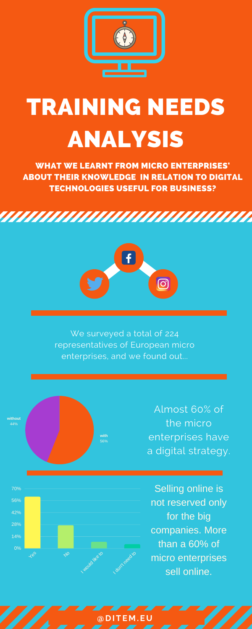

## TRAINING NEEDS ANALYSIS

WHAT WE LEARNT FROM MICRO ENTERPRISES' ABOUT THEIR KNOWLEDGE IN RELATION TO DIGITAL TECHNOLOGIES USEFUL FOR BUSINESS?





We surveyed a total of 224 representatives of European micro enterprises, and we found out...

> Almost 60% of the micro enterprises have a digital strategy.







Selling online is not reserved only for the big companies. More than a 60% of micro enterprises sell online.